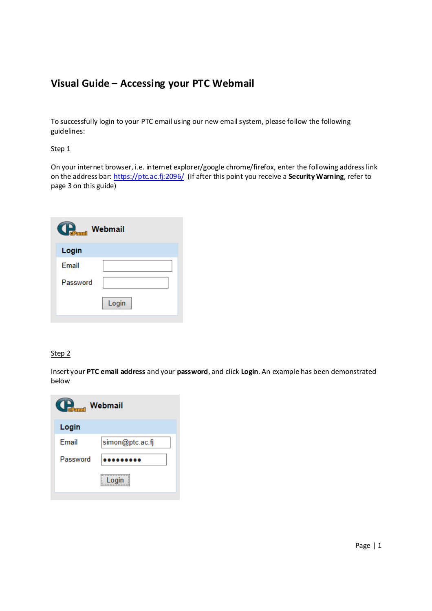# **Visual Guide – Accessing your PTC Webmail**

To successfully login to your PTC email using our new email system, please follow the following guidelines:

## Step 1

On your internet browser, i.e. internet explorer/google chrome/firefox, enter the following address link on the address bar: https://ptc.ac.fj:2096/ (If after this point you receive a **Security Warning**, refer to page 3 on this guide)

| <b>Communisment</b> Webmail |       |  |
|-----------------------------|-------|--|
| Login                       |       |  |
| Email                       |       |  |
| Password                    |       |  |
|                             | Login |  |

## Step<sub>2</sub>

Insert your **PTC email address** and your **password**, and click **Login**. An example has been demonstrated below

| $\bigcup_{\text{clean}}$<br>Webmail |                 |  |
|-------------------------------------|-----------------|--|
| Login                               |                 |  |
| Fmail                               | simon@ptc.ac.fj |  |
| Password                            |                 |  |
|                                     | Login           |  |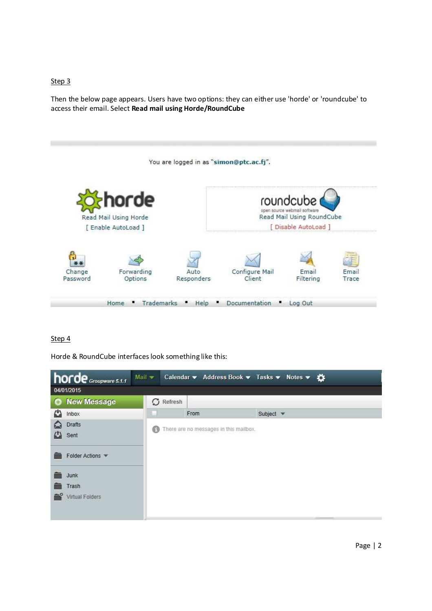#### Step 3

Then the below page appears. Users have two options: they can either use 'horde' or 'roundcube' to access their email. Select **Read mail using Horde/RoundCube**



# Step 4

Horde & RoundCube interfaces look something like this:

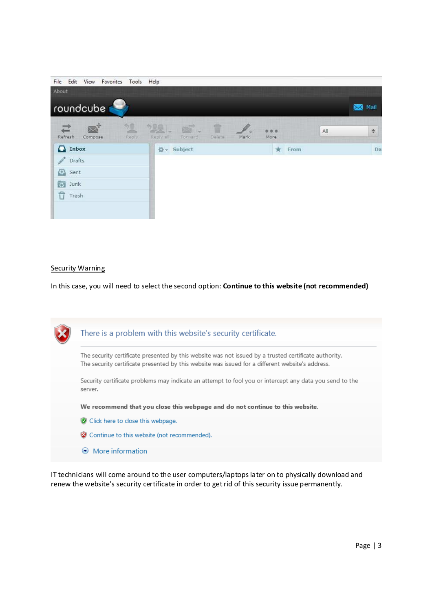| File Edit View Favorites Tools Help                         |                                                                        |                            |                    |
|-------------------------------------------------------------|------------------------------------------------------------------------|----------------------------|--------------------|
| About                                                       |                                                                        |                            |                    |
| roundcube                                                   |                                                                        | Mail<br>$\bowtie$          |                    |
| 观<br>$\mathbb{R}^+$<br>$\Xi$<br>Refresh<br>Reply<br>Compose | 盲<br>22.5<br>$\overline{\mathbb{Z}}$<br>Reply all<br>Delate<br>Fontard | All<br>0.0<br>Mark<br>More | $\hat{\mathbf{v}}$ |
| nbox                                                        | ☆ Subject                                                              | $\star$<br>From            | Da                 |
| Drafts                                                      |                                                                        |                            |                    |
| $\left\langle \Gamma \right\rangle$ Sent                    |                                                                        |                            |                    |
| <b>D</b> Junk                                               |                                                                        |                            |                    |
| Ů<br>Trash                                                  |                                                                        |                            |                    |
|                                                             |                                                                        |                            |                    |
|                                                             |                                                                        |                            |                    |

#### **Security Warning**

In this case, you will need to select the second option: **Continue to this website (not recommended)**

| There is a problem with this website's security certificate.                                                                                                                                              |
|-----------------------------------------------------------------------------------------------------------------------------------------------------------------------------------------------------------|
| The security certificate presented by this website was not issued by a trusted certificate authority.<br>The security certificate presented by this website was issued for a different website's address. |
| Security certificate problems may indicate an attempt to fool you or intercept any data you send to the<br>server.                                                                                        |
| We recommend that you close this webpage and do not continue to this website.                                                                                                                             |
| C Click here to close this webpage.                                                                                                                                                                       |
| Continue to this website (not recommended).                                                                                                                                                               |
| $\odot$ More information                                                                                                                                                                                  |

IT technicians will come around to the user computers/laptops later on to physically download and renew the website's security certificate in order to get rid of this security issue permanently.